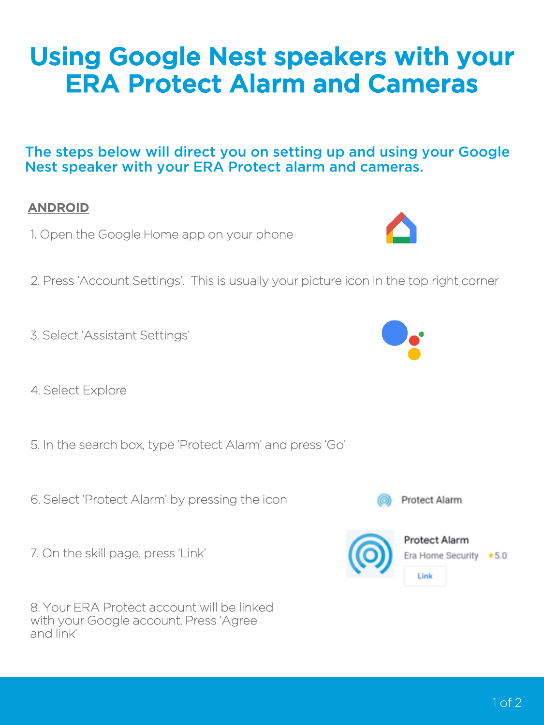### 1 of 2

### Using Google Nest speakers with your ERA Protect Alarm and Cameras

The steps below will direct you on setting up and using your Google Nest speaker with your ERA Protect alarm and cameras.

#### ANDROID

- 1. Open the Google Home app on your phone
- 2. Press 'Account Settings'. This is usually your picture icon in the top right corner
- 3. Select 'Assistant Settings'
- 4. Select Explore
- 5. In the search box, type 'Protect Alarm' and press 'Go'
- 6. Select 'Protect Alarm' by pressing the icon
- 7. On the skill page, press 'Link'

8. Your ERA Protect account will be linked with your Google account. Press 'Agree and link'





Protect Alarm

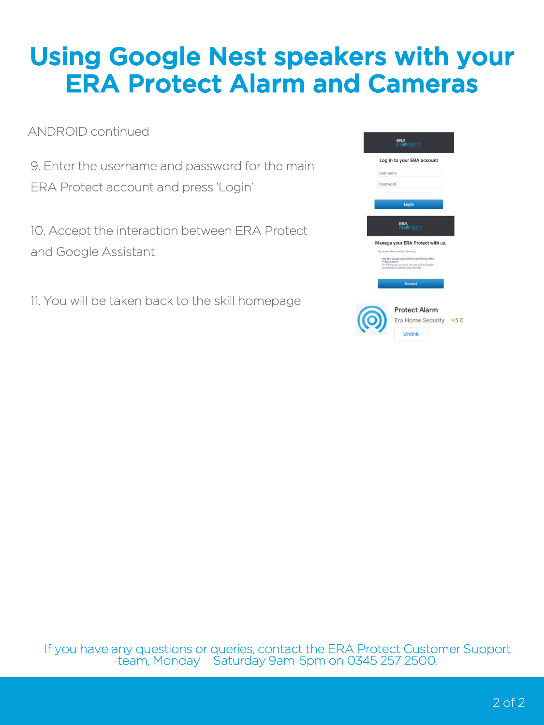# Using Google Nest speakers with your ERA Protect Alarm and Cameras

### ANDROID continued

9. Enter the username and password for the main ERA Protect account and press 'Login'

10. Accept the interaction between ERA Protect and Google Assistant

11. You will be taken back to the skill homepage

|          | <b>ERA</b><br><b>RATECT</b>                                                                                                                                                                    |        |
|----------|------------------------------------------------------------------------------------------------------------------------------------------------------------------------------------------------|--------|
|          | Log in to your ERA account                                                                                                                                                                     |        |
| Username |                                                                                                                                                                                                |        |
| Password |                                                                                                                                                                                                |        |
|          | Login                                                                                                                                                                                          |        |
|          | <b>ITECT</b>                                                                                                                                                                                   |        |
|          | Manage your ERA Protect with us.                                                                                                                                                               |        |
|          | We would like to do the following:<br>- Use the Google Assistant to control your ERA<br>Protect Alarm.<br>By linking your account you are giving Google<br>permission to control your devices. |        |
|          | <b>Accept</b>                                                                                                                                                                                  |        |
|          | <b>Protect Alarm</b>                                                                                                                                                                           |        |
|          | Era Home Security<br>Unlink                                                                                                                                                                    | $*5.0$ |
|          |                                                                                                                                                                                                |        |

If you have any questions or queries, contact the ERA Protect Customer Support team, Monday – Saturday 9am-5pm on 0345 257 2500.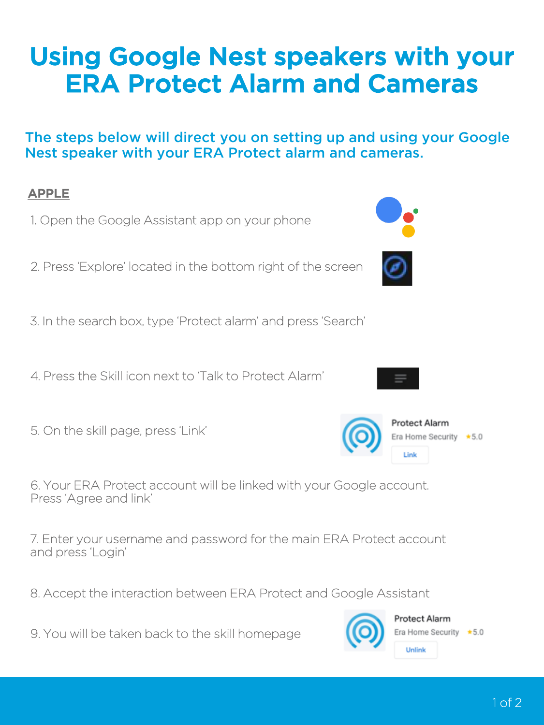# Using Google Nest speakers with your ERA Protect Alarm and Cameras

#### The steps below will direct you on setting up and using your Google Nest speaker with your ERA Protect alarm and cameras.



9. You will be taken back to the skill homepage